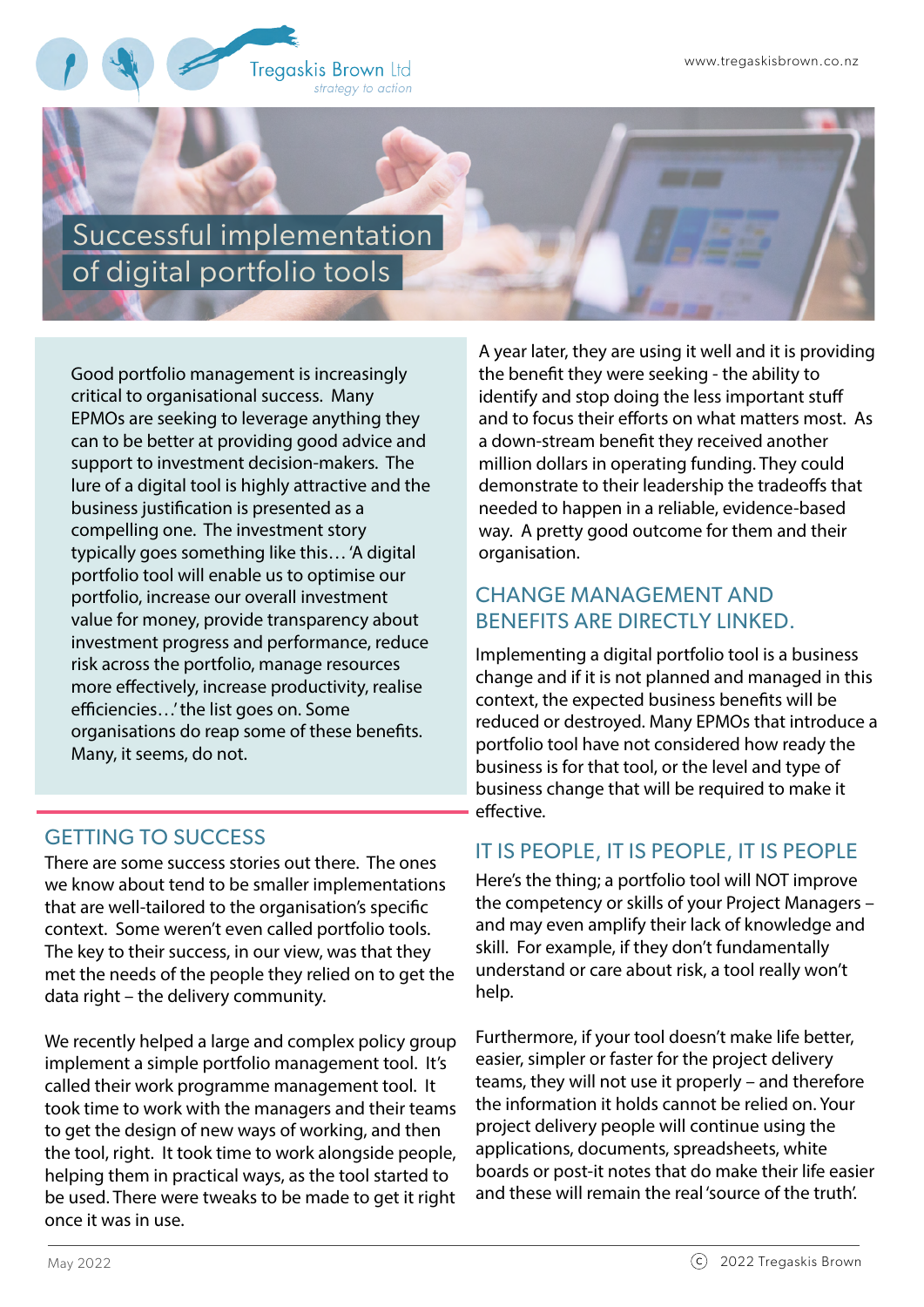

Successful implementation of digital portfolio tools

Good portfolio management is increasingly critical to organisational success. Many EPMOs are seeking to leverage anything they can to be better at providing good advice and support to investment decision-makers. The lure of a digital tool is highly attractive and the business justification is presented as a compelling one. The investment story typically goes something like this… 'A digital portfolio tool will enable us to optimise our portfolio, increase our overall investment value for money, provide transparency about investment progress and performance, reduce risk across the portfolio, manage resources more effectively, increase productivity, realise efficiencies...' the list goes on. Some organisations do reap some of these benefits. Many, it seems, do not.

# GETTING TO SUCCESS

There are some success stories out there. The ones we know about tend to be smaller implementations that are well-tailored to the organisation's specific context. Some weren't even called portfolio tools. The key to their success, in our view, was that they met the needs of the people they relied on to get the data right – the delivery community.

We recently helped a large and complex policy group implement a simple portfolio management tool. It's called their work programme management tool. It took time to work with the managers and their teams to get the design of new ways of working, and then the tool, right. It took time to work alongside people, helping them in practical ways, as the tool started to be used. There were tweaks to be made to get it right once it was in use.

A year later, they are using it well and it is providing the benefit they were seeking - the ability to identify and stop doing the less important stuff and to focus their efforts on what matters most. As a down-stream benefit they received another million dollars in operating funding. They could demonstrate to their leadership the tradeoffs that needed to happen in a reliable, evidence-based way. A pretty good outcome for them and their organisation.

#### CHANGE MANAGEMENT AND BENEFITS ARE DIRECTLY LINKED.

Implementing a digital portfolio tool is a business change and if it is not planned and managed in this context, the expected business benefits will be reduced or destroyed. Many EPMOs that introduce a portfolio tool have not considered how ready the business is for that tool, or the level and type of business change that will be required to make it effective.

# IT IS PEOPLE, IT IS PEOPLE, IT IS PEOPLE

Here's the thing; a portfolio tool will NOT improve the competency or skills of your Project Managers – and may even amplify their lack of knowledge and skill. For example, if they don't fundamentally understand or care about risk, a tool really won't help.

Furthermore, if your tool doesn't make life better, easier, simpler or faster for the project delivery teams, they will not use it properly – and therefore the information it holds cannot be relied on. Your project delivery people will continue using the applications, documents, spreadsheets, white boards or post-it notes that do make their life easier and these will remain the real 'source of the truth'.